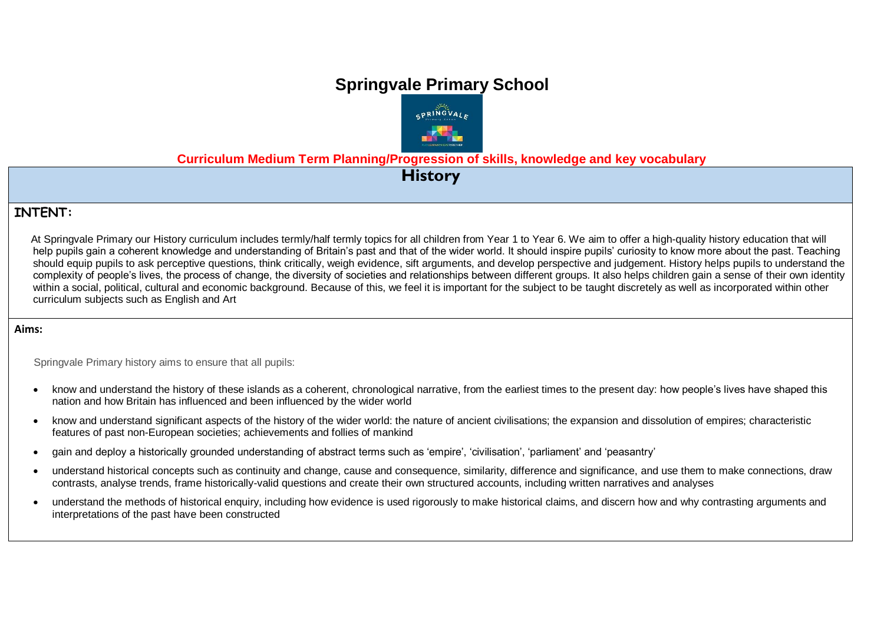# **Springvale Primary School**



**Curriculum Medium Term Planning/Progression of skills, knowledge and key vocabulary**

**History**

## **INTENT:**

At Springvale Primary our History curriculum includes termly/half termly topics for all children from Year 1 to Year 6. We aim to offer a high-quality history education that will help pupils gain a coherent knowledge and understanding of Britain's past and that of the wider world. It should inspire pupils' curiosity to know more about the past. Teaching should equip pupils to ask perceptive questions, think critically, weigh evidence, sift arguments, and develop perspective and judgement. History helps pupils to understand the complexity of people's lives, the process of change, the diversity of societies and relationships between different groups. It also helps children gain a sense of their own identity within a social, political, cultural and economic background. Because of this, we feel it is important for the subject to be taught discretely as well as incorporated within other curriculum subjects such as English and Art

#### **Aims:**

Springvale Primary history aims to ensure that all pupils:

- know and understand the history of these islands as a coherent, chronological narrative, from the earliest times to the present day: how people's lives have shaped this nation and how Britain has influenced and been influenced by the wider world
- know and understand significant aspects of the history of the wider world: the nature of ancient civilisations; the expansion and dissolution of empires; characteristic features of past non-European societies; achievements and follies of mankind
- gain and deploy a historically grounded understanding of abstract terms such as 'empire', 'civilisation', 'parliament' and 'peasantry'
- understand historical concepts such as continuity and change, cause and consequence, similarity, difference and significance, and use them to make connections, draw contrasts, analyse trends, frame historically-valid questions and create their own structured accounts, including written narratives and analyses
- understand the methods of historical enquiry, including how evidence is used rigorously to make historical claims, and discern how and why contrasting arguments and interpretations of the past have been constructed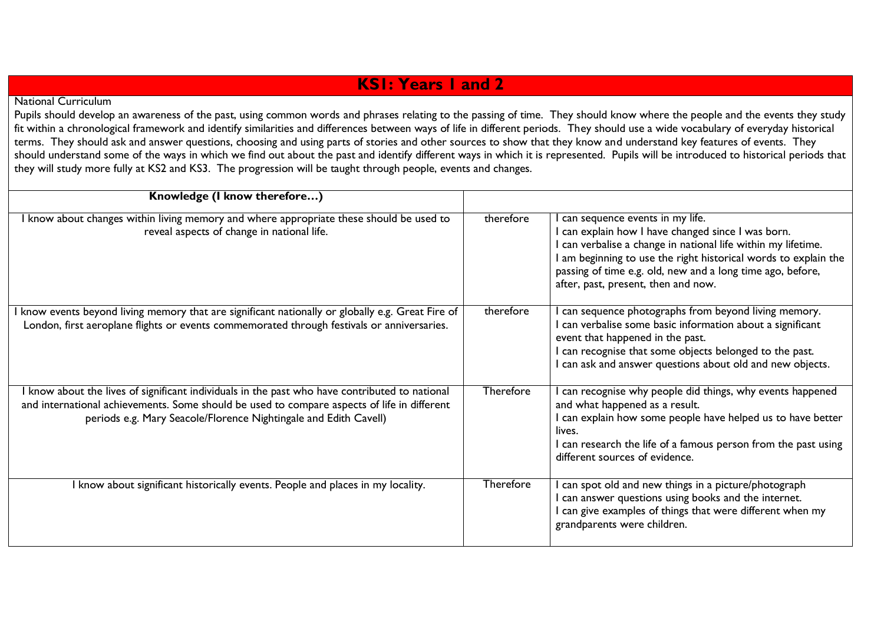## **KS1: Years 1 and 2**

### National Curriculum

Pupils should develop an awareness of the past, using common words and phrases relating to the passing of time. They should know where the people and the events they study fit within a chronological framework and identify similarities and differences between ways of life in different periods. They should use a wide vocabulary of everyday historical terms. They should ask and answer questions, choosing and using parts of stories and other sources to show that they know and understand key features of events. They should understand some of the ways in which we find out about the past and identify different ways in which it is represented. Pupils will be introduced to historical periods that they will study more fully at KS2 and KS3. The progression will be taught through people, events and changes.

| Knowledge (I know therefore)                                                                                                                                                                                                                                      |           |                                                                                                                                                                                                                                                                                                                                |
|-------------------------------------------------------------------------------------------------------------------------------------------------------------------------------------------------------------------------------------------------------------------|-----------|--------------------------------------------------------------------------------------------------------------------------------------------------------------------------------------------------------------------------------------------------------------------------------------------------------------------------------|
| I know about changes within living memory and where appropriate these should be used to<br>reveal aspects of change in national life.                                                                                                                             | therefore | can sequence events in my life.<br>I can explain how I have changed since I was born.<br>I can verbalise a change in national life within my lifetime.<br>I am beginning to use the right historical words to explain the<br>passing of time e.g. old, new and a long time ago, before,<br>after, past, present, then and now. |
| know events beyond living memory that are significant nationally or globally e.g. Great Fire of<br>London, first aeroplane flights or events commemorated through festivals or anniversaries.                                                                     | therefore | can sequence photographs from beyond living memory.<br>I can verbalise some basic information about a significant<br>event that happened in the past.<br>I can recognise that some objects belonged to the past.<br>I can ask and answer questions about old and new objects.                                                  |
| I know about the lives of significant individuals in the past who have contributed to national<br>and international achievements. Some should be used to compare aspects of life in different<br>periods e.g. Mary Seacole/Florence Nightingale and Edith Cavell) | Therefore | can recognise why people did things, why events happened<br>and what happened as a result.<br>I can explain how some people have helped us to have better<br>lives.<br>I can research the life of a famous person from the past using<br>different sources of evidence.                                                        |
| I know about significant historically events. People and places in my locality.                                                                                                                                                                                   | Therefore | can spot old and new things in a picture/photograph<br>I can answer questions using books and the internet.<br>I can give examples of things that were different when my<br>grandparents were children.                                                                                                                        |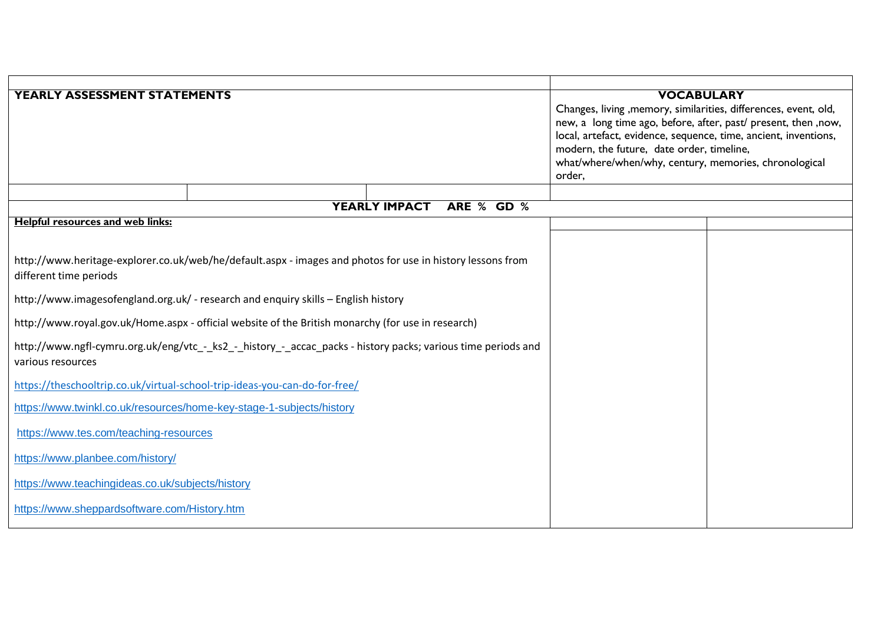| <b>YEARLY ASSESSMENT STATEMENTS</b>                                                                          |                                                                                                            |                      | <b>VOCABULARY</b>                                                |  |
|--------------------------------------------------------------------------------------------------------------|------------------------------------------------------------------------------------------------------------|----------------------|------------------------------------------------------------------|--|
|                                                                                                              |                                                                                                            |                      | Changes, living , memory, similarities, differences, event, old, |  |
|                                                                                                              |                                                                                                            |                      | new, a long time ago, before, after, past/ present, then ,now,   |  |
|                                                                                                              |                                                                                                            |                      | local, artefact, evidence, sequence, time, ancient, inventions,  |  |
|                                                                                                              |                                                                                                            |                      | modern, the future, date order, timeline,                        |  |
|                                                                                                              |                                                                                                            |                      | what/where/when/why, century, memories, chronological            |  |
|                                                                                                              |                                                                                                            |                      | order,                                                           |  |
|                                                                                                              |                                                                                                            | <b>YEARLY IMPACT</b> |                                                                  |  |
|                                                                                                              |                                                                                                            | ARE % GD %           |                                                                  |  |
| <b>Helpful resources and web links:</b>                                                                      |                                                                                                            |                      |                                                                  |  |
|                                                                                                              |                                                                                                            |                      |                                                                  |  |
|                                                                                                              | http://www.heritage-explorer.co.uk/web/he/default.aspx - images and photos for use in history lessons from |                      |                                                                  |  |
| different time periods                                                                                       |                                                                                                            |                      |                                                                  |  |
|                                                                                                              |                                                                                                            |                      |                                                                  |  |
|                                                                                                              | http://www.imagesofengland.org.uk/ - research and enquiry skills - English history                         |                      |                                                                  |  |
|                                                                                                              | http://www.royal.gov.uk/Home.aspx - official website of the British monarchy (for use in research)         |                      |                                                                  |  |
| http://www.ngfl-cymru.org.uk/eng/vtc_-_ks2_-_history_-_accac_packs - history packs; various time periods and |                                                                                                            |                      |                                                                  |  |
| various resources                                                                                            |                                                                                                            |                      |                                                                  |  |
|                                                                                                              |                                                                                                            |                      |                                                                  |  |
| https://theschooltrip.co.uk/virtual-school-trip-ideas-you-can-do-for-free/                                   |                                                                                                            |                      |                                                                  |  |
| https://www.twinkl.co.uk/resources/home-key-stage-1-subjects/history                                         |                                                                                                            |                      |                                                                  |  |
| https://www.tes.com/teaching-resources                                                                       |                                                                                                            |                      |                                                                  |  |
| https://www.planbee.com/history/                                                                             |                                                                                                            |                      |                                                                  |  |
| https://www.teachingideas.co.uk/subjects/history                                                             |                                                                                                            |                      |                                                                  |  |
| https://www.sheppardsoftware.com/History.htm                                                                 |                                                                                                            |                      |                                                                  |  |
|                                                                                                              |                                                                                                            |                      |                                                                  |  |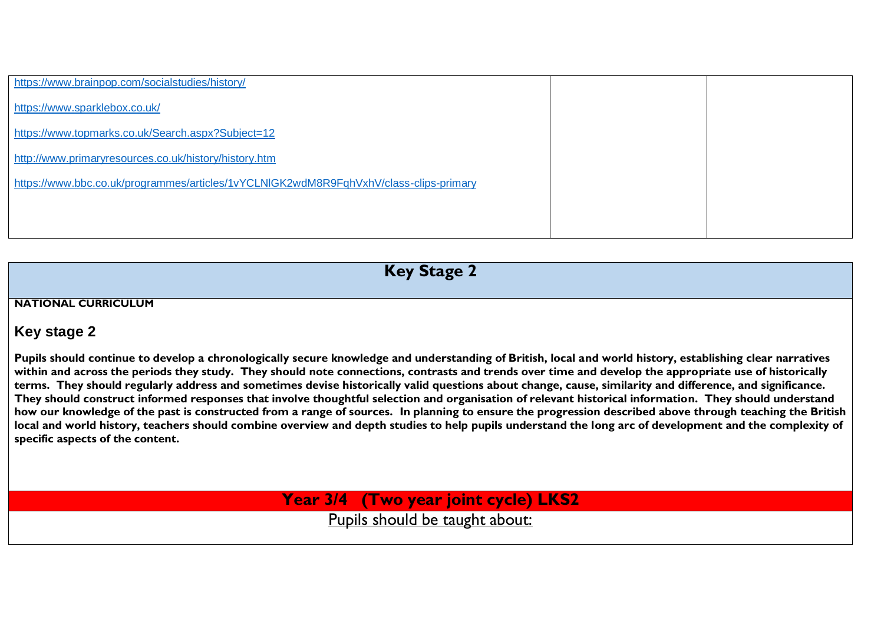| https://www.brainpop.com/socialstudies/history/                                       |  |
|---------------------------------------------------------------------------------------|--|
| https://www.sparklebox.co.uk/                                                         |  |
| https://www.topmarks.co.uk/Search.aspx?Subject=12                                     |  |
| http://www.primaryresources.co.uk/history/history.htm                                 |  |
| https://www.bbc.co.uk/programmes/articles/1vYCLNIGK2wdM8R9FqhVxhV/class-clips-primary |  |
|                                                                                       |  |
|                                                                                       |  |

**Key Stage 2**

#### **NATIONAL CURRICULUM**

### **Key stage 2**

**Pupils should continue to develop a chronologically secure knowledge and understanding of British, local and world history, establishing clear narratives within and across the periods they study. They should note connections, contrasts and trends over time and develop the appropriate use of historically terms. They should regularly address and sometimes devise historically valid questions about change, cause, similarity and difference, and significance. They should construct informed responses that involve thoughtful selection and organisation of relevant historical information. They should understand how our knowledge of the past is constructed from a range of sources. In planning to ensure the progression described above through teaching the British local and world history, teachers should combine overview and depth studies to help pupils understand the long arc of development and the complexity of specific aspects of the content.** 

**Year 3/4 (Two year joint cycle) LKS2** 

Pupils should be taught about: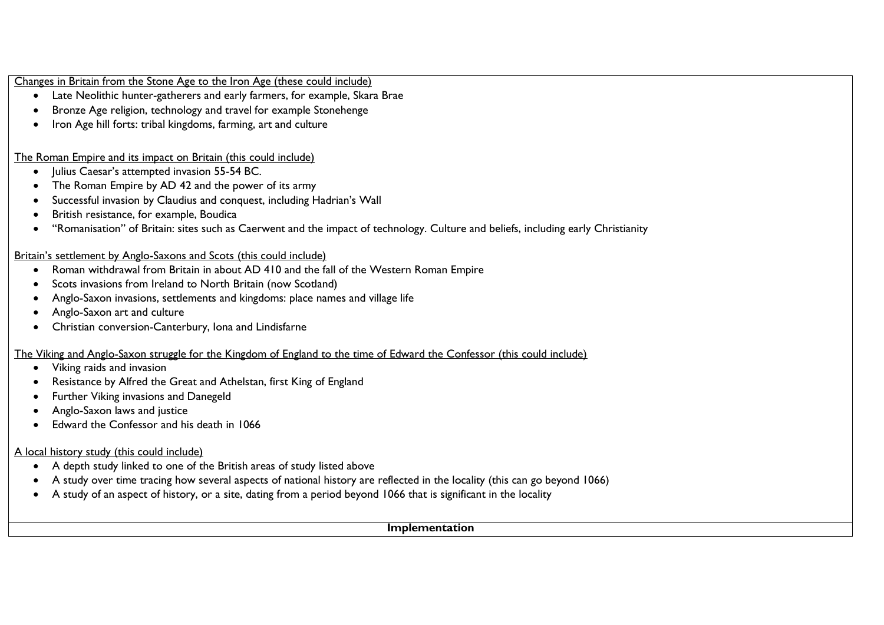Changes in Britain from the Stone Age to the Iron Age (these could include)

- Late Neolithic hunter-gatherers and early farmers, for example, Skara Brae
- Bronze Age religion, technology and travel for example Stonehenge
- Iron Age hill forts: tribal kingdoms, farming, art and culture

The Roman Empire and its impact on Britain (this could include)

- $\bullet$  | ulius Caesar's attempted invasion 55-54 BC.
- The Roman Empire by AD 42 and the power of its army
- Successful invasion by Claudius and conquest, including Hadrian's Wall
- British resistance, for example, Boudica
- "Romanisation" of Britain: sites such as Caerwent and the impact of technology. Culture and beliefs, including early Christianity

#### Britain's settlement by Anglo-Saxons and Scots (this could include)

- Roman withdrawal from Britain in about AD 410 and the fall of the Western Roman Empire
- Scots invasions from Ireland to North Britain (now Scotland)
- Anglo-Saxon invasions, settlements and kingdoms: place names and village life
- Anglo-Saxon art and culture
- Christian conversion-Canterbury, Iona and Lindisfarne

### The Viking and Anglo-Saxon struggle for the Kingdom of England to the time of Edward the Confessor (this could include)

- Viking raids and invasion
- Resistance by Alfred the Great and Athelstan, first King of England
- Further Viking invasions and Danegeld
- Anglo-Saxon laws and justice
- Edward the Confessor and his death in 1066

### A local history study (this could include)

- A depth study linked to one of the British areas of study listed above
- A study over time tracing how several aspects of national history are reflected in the locality (this can go beyond 1066)
- A study of an aspect of history, or a site, dating from a period beyond 1066 that is significant in the locality

#### **Implementation**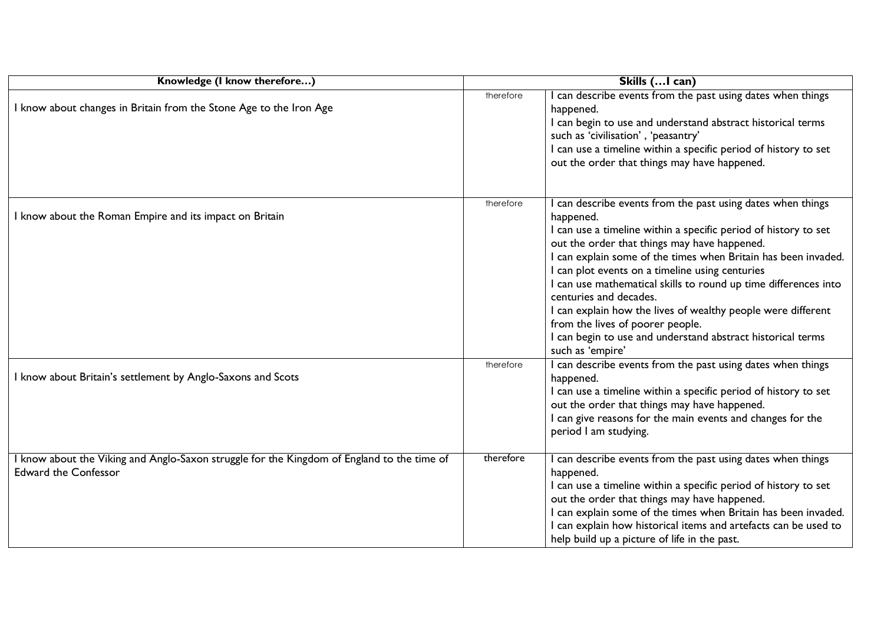| Knowledge (I know therefore)                                                                                            | Skills ( I can) |                                                                                                                                                                                                                                                                                                                                                                                                                                                                                                                                                                                                      |  |
|-------------------------------------------------------------------------------------------------------------------------|-----------------|------------------------------------------------------------------------------------------------------------------------------------------------------------------------------------------------------------------------------------------------------------------------------------------------------------------------------------------------------------------------------------------------------------------------------------------------------------------------------------------------------------------------------------------------------------------------------------------------------|--|
| know about changes in Britain from the Stone Age to the Iron Age                                                        | therefore       | I can describe events from the past using dates when things<br>happened.<br>I can begin to use and understand abstract historical terms<br>such as 'civilisation', 'peasantry'<br>I can use a timeline within a specific period of history to set<br>out the order that things may have happened.                                                                                                                                                                                                                                                                                                    |  |
| I know about the Roman Empire and its impact on Britain                                                                 | therefore       | I can describe events from the past using dates when things<br>happened.<br>I can use a timeline within a specific period of history to set<br>out the order that things may have happened.<br>I can explain some of the times when Britain has been invaded.<br>I can plot events on a timeline using centuries<br>I can use mathematical skills to round up time differences into<br>centuries and decades.<br>I can explain how the lives of wealthy people were different<br>from the lives of poorer people.<br>I can begin to use and understand abstract historical terms<br>such as 'empire' |  |
| know about Britain's settlement by Anglo-Saxons and Scots                                                               | therefore       | I can describe events from the past using dates when things<br>happened.<br>I can use a timeline within a specific period of history to set<br>out the order that things may have happened.<br>I can give reasons for the main events and changes for the<br>period I am studying.                                                                                                                                                                                                                                                                                                                   |  |
| know about the Viking and Anglo-Saxon struggle for the Kingdom of England to the time of<br><b>Edward the Confessor</b> | therefore       | I can describe events from the past using dates when things<br>happened.<br>I can use a timeline within a specific period of history to set<br>out the order that things may have happened.<br>I can explain some of the times when Britain has been invaded.<br>I can explain how historical items and artefacts can be used to<br>help build up a picture of life in the past.                                                                                                                                                                                                                     |  |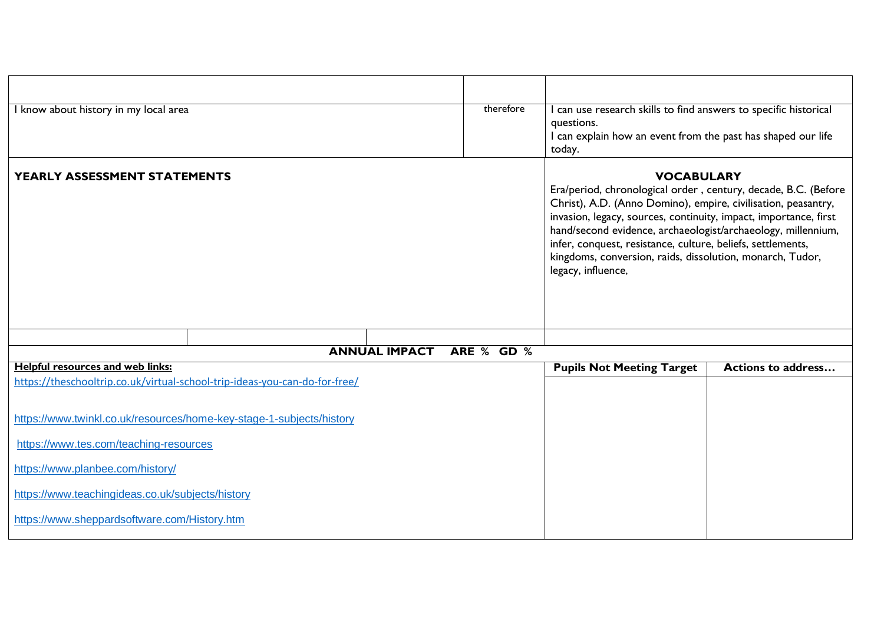| I know about history in my local area                                                                                 |  |                                                                                                                                                                                                                                                                                                                                                                                                                                            | therefore  | I can use research skills to find answers to specific historical<br>questions.<br>I can explain how an event from the past has shaped our life<br>today. |                           |
|-----------------------------------------------------------------------------------------------------------------------|--|--------------------------------------------------------------------------------------------------------------------------------------------------------------------------------------------------------------------------------------------------------------------------------------------------------------------------------------------------------------------------------------------------------------------------------------------|------------|----------------------------------------------------------------------------------------------------------------------------------------------------------|---------------------------|
| YEARLY ASSESSMENT STATEMENTS                                                                                          |  | <b>VOCABULARY</b><br>Era/period, chronological order, century, decade, B.C. (Before<br>Christ), A.D. (Anno Domino), empire, civilisation, peasantry,<br>invasion, legacy, sources, continuity, impact, importance, first<br>hand/second evidence, archaeologist/archaeology, millennium,<br>infer, conquest, resistance, culture, beliefs, settlements,<br>kingdoms, conversion, raids, dissolution, monarch, Tudor,<br>legacy, influence, |            |                                                                                                                                                          |                           |
|                                                                                                                       |  | <b>ANNUAL IMPACT</b>                                                                                                                                                                                                                                                                                                                                                                                                                       | ARE % GD % |                                                                                                                                                          |                           |
| <b>Helpful resources and web links:</b><br>https://theschooltrip.co.uk/virtual-school-trip-ideas-you-can-do-for-free/ |  |                                                                                                                                                                                                                                                                                                                                                                                                                                            |            | <b>Pupils Not Meeting Target</b>                                                                                                                         | <b>Actions to address</b> |
| https://www.twinkl.co.uk/resources/home-key-stage-1-subjects/history                                                  |  |                                                                                                                                                                                                                                                                                                                                                                                                                                            |            |                                                                                                                                                          |                           |
| https://www.tes.com/teaching-resources                                                                                |  |                                                                                                                                                                                                                                                                                                                                                                                                                                            |            |                                                                                                                                                          |                           |
| https://www.planbee.com/history/                                                                                      |  |                                                                                                                                                                                                                                                                                                                                                                                                                                            |            |                                                                                                                                                          |                           |
| https://www.teachingideas.co.uk/subjects/history                                                                      |  |                                                                                                                                                                                                                                                                                                                                                                                                                                            |            |                                                                                                                                                          |                           |
| https://www.sheppardsoftware.com/History.htm                                                                          |  |                                                                                                                                                                                                                                                                                                                                                                                                                                            |            |                                                                                                                                                          |                           |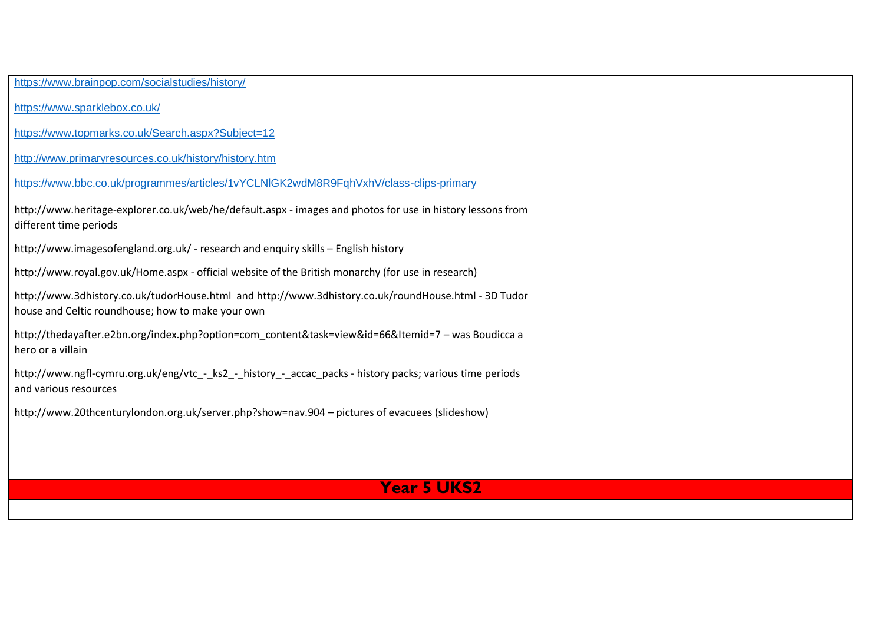| https://www.brainpop.com/socialstudies/history/                                                                                                           |  |
|-----------------------------------------------------------------------------------------------------------------------------------------------------------|--|
| https://www.sparklebox.co.uk/                                                                                                                             |  |
| https://www.topmarks.co.uk/Search.aspx?Subject=12                                                                                                         |  |
| http://www.primaryresources.co.uk/history/history.htm                                                                                                     |  |
| https://www.bbc.co.uk/programmes/articles/1vYCLNIGK2wdM8R9FqhVxhV/class-clips-primary                                                                     |  |
| http://www.heritage-explorer.co.uk/web/he/default.aspx - images and photos for use in history lessons from<br>different time periods                      |  |
| http://www.imagesofengland.org.uk/ - research and enquiry skills - English history                                                                        |  |
| http://www.royal.gov.uk/Home.aspx - official website of the British monarchy (for use in research)                                                        |  |
| http://www.3dhistory.co.uk/tudorHouse.html and http://www.3dhistory.co.uk/roundHouse.html - 3D Tudor<br>house and Celtic roundhouse; how to make your own |  |
| http://thedayafter.e2bn.org/index.php?option=com_content&task=view&id=66&Itemid=7 - was Boudicca a<br>hero or a villain                                   |  |
| http://www.ngfl-cymru.org.uk/eng/vtc - ks2 - history - accac packs - history packs; various time periods<br>and various resources                         |  |
| http://www.20thcenturylondon.org.uk/server.php?show=nav.904 - pictures of evacuees (slideshow)                                                            |  |
|                                                                                                                                                           |  |
|                                                                                                                                                           |  |
| <b>Year 5 UKS2</b>                                                                                                                                        |  |
|                                                                                                                                                           |  |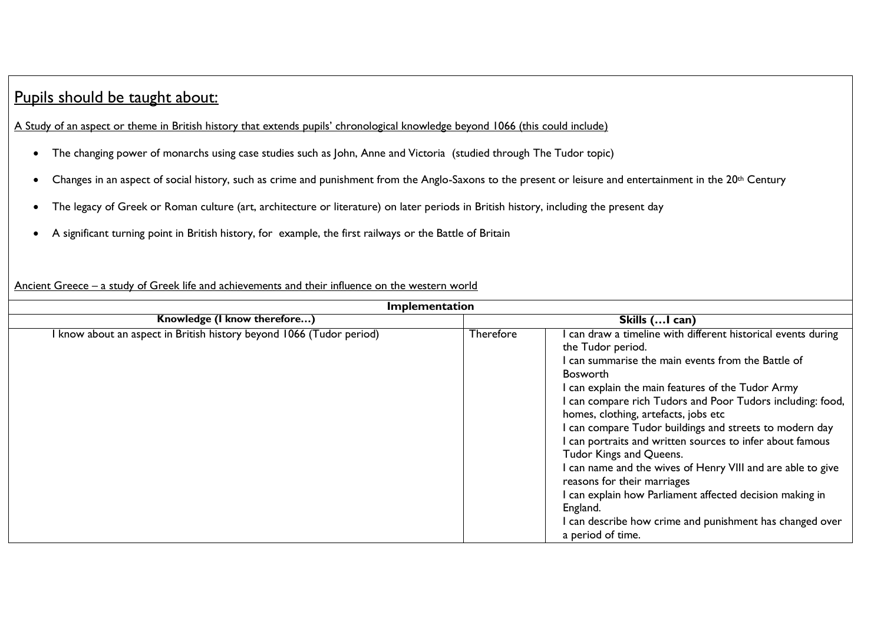# Pupils should be taught about:

A Study of an aspect or theme in British history that extends pupils' chronological knowledge beyond 1066 (this could include)

- The changing power of monarchs using case studies such as John, Anne and Victoria (studied through The Tudor topic)
- Changes in an aspect of social history, such as crime and punishment from the Anglo-Saxons to the present or leisure and entertainment in the 20<sup>th</sup> Century
- The legacy of Greek or Roman culture (art, architecture or literature) on later periods in British history, including the present day
- A significant turning point in British history, for example, the first railways or the Battle of Britain

### Ancient Greece – a study of Greek life and achievements and their influence on the western world

| Implementation                                                       |                  |                                                                                                                                                                                                                                                                                                                                                                                                                                                                                                                                                                                                                                                                                                                                |  |  |
|----------------------------------------------------------------------|------------------|--------------------------------------------------------------------------------------------------------------------------------------------------------------------------------------------------------------------------------------------------------------------------------------------------------------------------------------------------------------------------------------------------------------------------------------------------------------------------------------------------------------------------------------------------------------------------------------------------------------------------------------------------------------------------------------------------------------------------------|--|--|
| Knowledge (I know therefore)                                         | Skills ( I can)  |                                                                                                                                                                                                                                                                                                                                                                                                                                                                                                                                                                                                                                                                                                                                |  |  |
| I know about an aspect in British history beyond 1066 (Tudor period) | <b>Therefore</b> | can draw a timeline with different historical events during<br>the Tudor period.<br>I can summarise the main events from the Battle of<br><b>Bosworth</b><br>I can explain the main features of the Tudor Army<br>I can compare rich Tudors and Poor Tudors including: food,<br>homes, clothing, artefacts, jobs etc<br>I can compare Tudor buildings and streets to modern day<br>I can portraits and written sources to infer about famous<br>Tudor Kings and Queens.<br>I can name and the wives of Henry VIII and are able to give<br>reasons for their marriages<br>I can explain how Parliament affected decision making in<br>England.<br>I can describe how crime and punishment has changed over<br>a period of time. |  |  |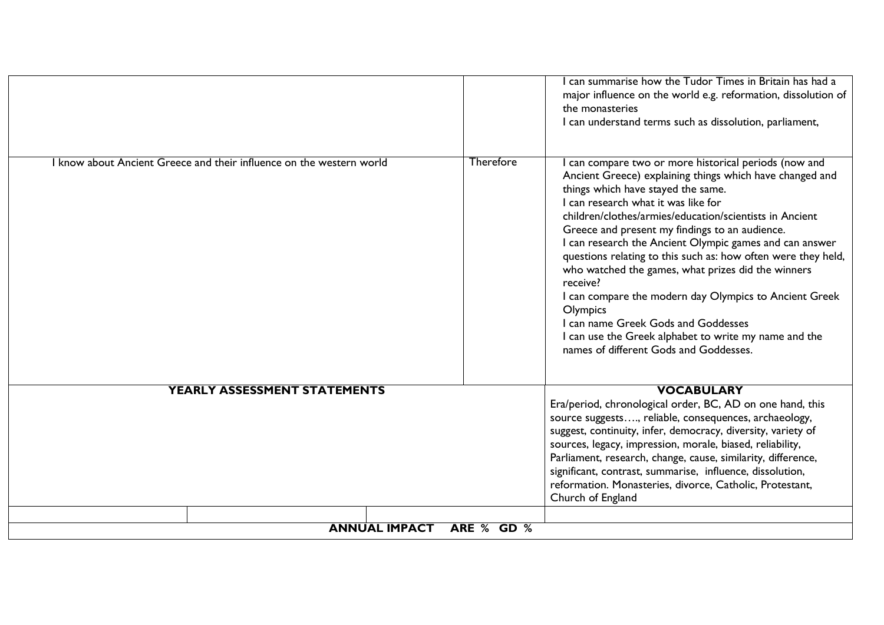|                                                                      |            | can summarise how the Tudor Times in Britain has had a<br>major influence on the world e.g. reformation, dissolution of<br>the monasteries<br>I can understand terms such as dissolution, parliament,                                                                                                                                                                                                                                                                                                                                                                                                                                                                                                                   |
|----------------------------------------------------------------------|------------|-------------------------------------------------------------------------------------------------------------------------------------------------------------------------------------------------------------------------------------------------------------------------------------------------------------------------------------------------------------------------------------------------------------------------------------------------------------------------------------------------------------------------------------------------------------------------------------------------------------------------------------------------------------------------------------------------------------------------|
| I know about Ancient Greece and their influence on the western world | Therefore  | can compare two or more historical periods (now and<br>Ancient Greece) explaining things which have changed and<br>things which have stayed the same.<br>I can research what it was like for<br>children/clothes/armies/education/scientists in Ancient<br>Greece and present my findings to an audience.<br>I can research the Ancient Olympic games and can answer<br>questions relating to this such as: how often were they held,<br>who watched the games, what prizes did the winners<br>receive?<br>I can compare the modern day Olympics to Ancient Greek<br>Olympics<br>I can name Greek Gods and Goddesses<br>I can use the Greek alphabet to write my name and the<br>names of different Gods and Goddesses. |
| YEARLY ASSESSMENT STATEMENTS                                         |            | <b>VOCABULARY</b><br>Era/period, chronological order, BC, AD on one hand, this<br>source suggests, reliable, consequences, archaeology,<br>suggest, continuity, infer, democracy, diversity, variety of<br>sources, legacy, impression, morale, biased, reliability,<br>Parliament, research, change, cause, similarity, difference,<br>significant, contrast, summarise, influence, dissolution,<br>reformation. Monasteries, divorce, Catholic, Protestant,<br>Church of England                                                                                                                                                                                                                                      |
| <b>ANNUAL IMPACT</b>                                                 | ARE % GD % |                                                                                                                                                                                                                                                                                                                                                                                                                                                                                                                                                                                                                                                                                                                         |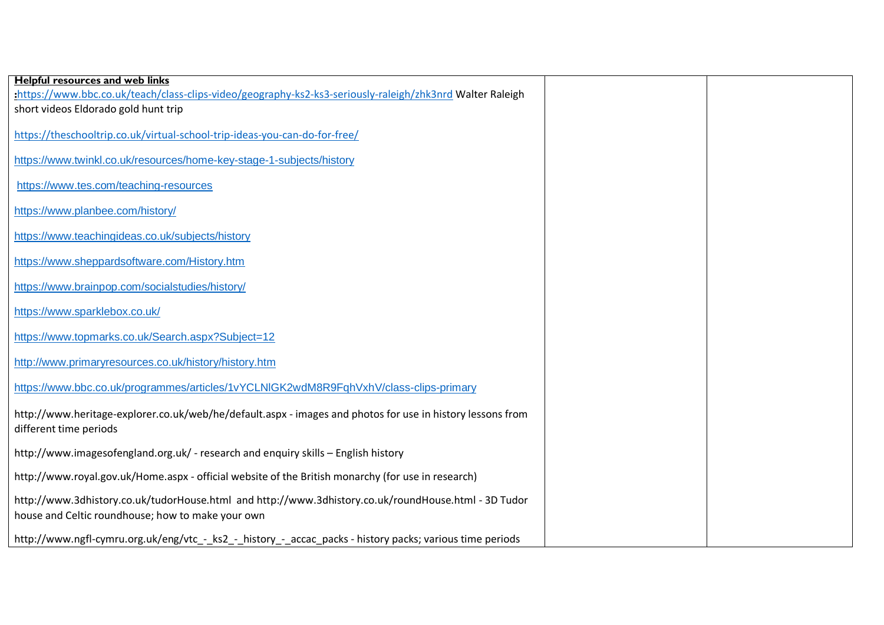| <b>Helpful resources and web links</b>                                                                                                                    |  |
|-----------------------------------------------------------------------------------------------------------------------------------------------------------|--|
| :https://www.bbc.co.uk/teach/class-clips-video/geography-ks2-ks3-seriously-raleigh/zhk3nrd Walter Raleigh                                                 |  |
| short videos Eldorado gold hunt trip                                                                                                                      |  |
| https://theschooltrip.co.uk/virtual-school-trip-ideas-you-can-do-for-free/                                                                                |  |
| https://www.twinkl.co.uk/resources/home-key-stage-1-subjects/history                                                                                      |  |
| https://www.tes.com/teaching-resources                                                                                                                    |  |
| https://www.planbee.com/history/                                                                                                                          |  |
| https://www.teachingideas.co.uk/subjects/history                                                                                                          |  |
| https://www.sheppardsoftware.com/History.htm                                                                                                              |  |
| https://www.brainpop.com/socialstudies/history/                                                                                                           |  |
| https://www.sparklebox.co.uk/                                                                                                                             |  |
| https://www.topmarks.co.uk/Search.aspx?Subject=12                                                                                                         |  |
| http://www.primaryresources.co.uk/history/history.htm                                                                                                     |  |
| https://www.bbc.co.uk/programmes/articles/1vYCLNIGK2wdM8R9FqhVxhV/class-clips-primary                                                                     |  |
| http://www.heritage-explorer.co.uk/web/he/default.aspx - images and photos for use in history lessons from<br>different time periods                      |  |
| http://www.imagesofengland.org.uk/ - research and enquiry skills - English history                                                                        |  |
| http://www.royal.gov.uk/Home.aspx - official website of the British monarchy (for use in research)                                                        |  |
| http://www.3dhistory.co.uk/tudorHouse.html and http://www.3dhistory.co.uk/roundHouse.html - 3D Tudor<br>house and Celtic roundhouse; how to make your own |  |
| http://www.ngfl-cymru.org.uk/eng/vtc_-_ks2_-_history_-_accac_packs - history packs; various time periods                                                  |  |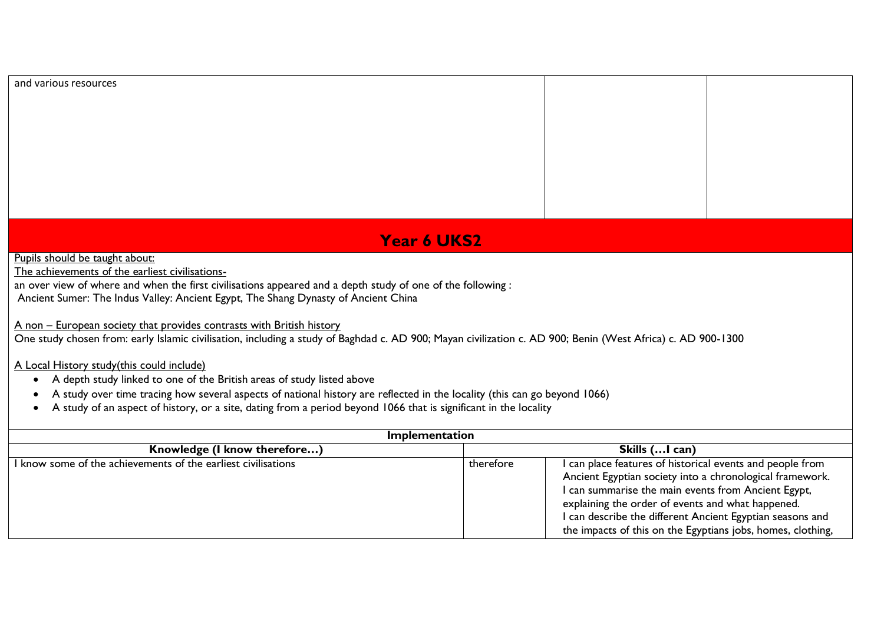#### and various resources

# **Year 6 UKS2**

Pupils should be taught about:

The achievements of the earliest civilisations-

an over view of where and when the first civilisations appeared and a depth study of one of the following :

Ancient Sumer: The Indus Valley: Ancient Egypt, The Shang Dynasty of Ancient China

A non – European society that provides contrasts with British history

One study chosen from: early Islamic civilisation, including a study of Baghdad c. AD 900; Mayan civilization c. AD 900; Benin (West Africa) c. AD 900-1300

A Local History study(this could include)

- A depth study linked to one of the British areas of study listed above
- A study over time tracing how several aspects of national history are reflected in the locality (this can go beyond 1066)
- A study of an aspect of history, or a site, dating from a period beyond 1066 that is significant in the locality

| <b>Implementation</b>                                         |                |                                                                                                                                                                                                                                                                                                                                                               |  |
|---------------------------------------------------------------|----------------|---------------------------------------------------------------------------------------------------------------------------------------------------------------------------------------------------------------------------------------------------------------------------------------------------------------------------------------------------------------|--|
| Knowledge (I know therefore)                                  | Skills (I can) |                                                                                                                                                                                                                                                                                                                                                               |  |
| I know some of the achievements of the earliest civilisations | therefore      | I can place features of historical events and people from<br>Ancient Egyptian society into a chronological framework.<br>I can summarise the main events from Ancient Egypt,<br>explaining the order of events and what happened.<br>I can describe the different Ancient Egyptian seasons and<br>the impacts of this on the Egyptians jobs, homes, clothing, |  |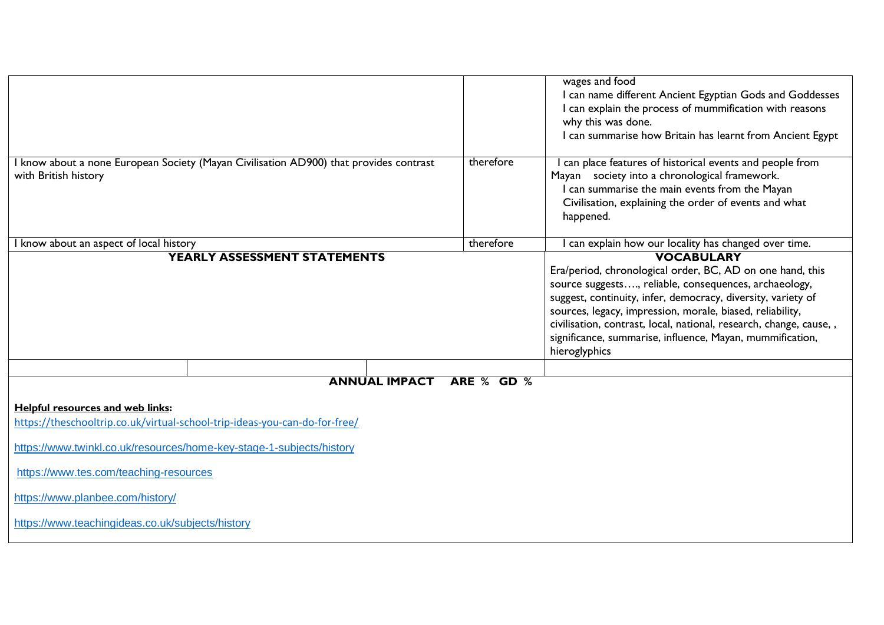| I know about a none European Society (Mayan Civilisation AD900) that provides contrast<br>with British history                                                                                                                                                                                                           | therefore  | wages and food<br>I can name different Ancient Egyptian Gods and Goddesses<br>I can explain the process of mummification with reasons<br>why this was done.<br>I can summarise how Britain has learnt from Ancient Egypt<br>can place features of historical events and people from<br>Mayan society into a chronological framework.<br>can summarise the main events from the Mayan<br>Civilisation, explaining the order of events and what<br>happened. |  |  |
|--------------------------------------------------------------------------------------------------------------------------------------------------------------------------------------------------------------------------------------------------------------------------------------------------------------------------|------------|------------------------------------------------------------------------------------------------------------------------------------------------------------------------------------------------------------------------------------------------------------------------------------------------------------------------------------------------------------------------------------------------------------------------------------------------------------|--|--|
| know about an aspect of local history                                                                                                                                                                                                                                                                                    | therefore  | can explain how our locality has changed over time.                                                                                                                                                                                                                                                                                                                                                                                                        |  |  |
| YEARLY ASSESSMENT STATEMENTS                                                                                                                                                                                                                                                                                             |            | <b>VOCABULARY</b><br>Era/period, chronological order, BC, AD on one hand, this<br>source suggests, reliable, consequences, archaeology,<br>suggest, continuity, infer, democracy, diversity, variety of<br>sources, legacy, impression, morale, biased, reliability,<br>civilisation, contrast, local, national, research, change, cause, ,<br>significance, summarise, influence, Mayan, mummification,<br>hieroglyphics                                  |  |  |
|                                                                                                                                                                                                                                                                                                                          |            |                                                                                                                                                                                                                                                                                                                                                                                                                                                            |  |  |
| <b>ANNUAL IMPACT</b>                                                                                                                                                                                                                                                                                                     | ARE % GD % |                                                                                                                                                                                                                                                                                                                                                                                                                                                            |  |  |
| Helpful resources and web links:<br>https://theschooltrip.co.uk/virtual-school-trip-ideas-you-can-do-for-free/<br>https://www.twinkl.co.uk/resources/home-key-stage-1-subjects/history<br>https://www.tes.com/teaching-resources<br>https://www.planbee.com/history/<br>https://www.teachingideas.co.uk/subjects/history |            |                                                                                                                                                                                                                                                                                                                                                                                                                                                            |  |  |